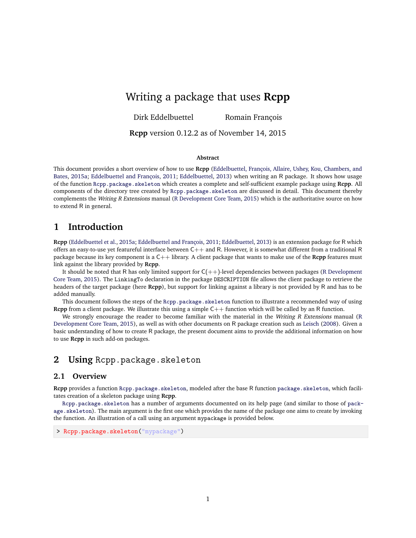# Writing a package that uses **Rcpp**

Dirk Eddelbuettel Romain François

**Rcpp** version 0.12.2 as of November 14, 2015

#### **Abstract**

This document provides a short overview of how to use **Rcpp** [\(Eddelbuettel, François, Allaire, Ushey, Kou, Chambers, and](#page-7-0) [Bates,](#page-7-0) [2015a;](#page-7-0) [Eddelbuettel and François,](#page-7-1) [2011;](#page-7-1) [Eddelbuettel,](#page-7-2) [2013\)](#page-7-2) when writing an R package. It shows how usage of the function [Rcpp.package.skeleton](http://www.rdocumentation.org/packages/Rcpp/functions/Rcpp.package.skeleton) which creates a complete and self-sufficient example package using **Rcpp**. All components of the directory tree created by [Rcpp.package.skeleton](http://www.rdocumentation.org/packages/Rcpp/functions/Rcpp.package.skeleton) are discussed in detail. This document thereby complements the Writing R Extensions manual [\(R Development Core Team,](#page-7-3) [2015\)](#page-7-3) which is the authoritative source on how to extend R in general.

## **1 Introduction**

**Rcpp** [\(Eddelbuettel et al.,](#page-7-0) [2015a;](#page-7-0) [Eddelbuettel and François,](#page-7-1) [2011;](#page-7-1) [Eddelbuettel,](#page-7-2) [2013\)](#page-7-2) is an extension package for R which offers an easy-to-use yet featureful interface between  $C++$  and R. However, it is somewhat different from a traditional R package because its key component is a C++ library. A client package that wants to make use of the **Rcpp** features must link against the library provided by **Rcpp**.

It should be noted that R has only limited support for  $C(++)$ -level dependencies between packages [\(R Development](#page-7-3) [Core Team,](#page-7-3) [2015\)](#page-7-3). The LinkingTo declaration in the package DESCRIPTION file allows the client package to retrieve the headers of the target package (here **Rcpp**), but support for linking against a library is not provided by R and has to be added manually.

This document follows the steps of the [Rcpp.package.skeleton](http://www.rdocumentation.org/packages/Rcpp/functions/Rcpp.package.skeleton) function to illustrate a recommended way of using **Rcpp** from a client package. We illustrate this using a simple  $C++$  function which will be called by an R function.

We strongly encourage the reader to become familiar with the material in the Writing R Extensions manual [\(R](#page-7-3) [Development Core Team,](#page-7-3) [2015\)](#page-7-3), as well as with other documents on R package creation such as [Leisch](#page-7-4) [\(2008\)](#page-7-4). Given a basic understanding of how to create R package, the present document aims to provide the additional information on how to use **Rcpp** in such add-on packages.

## 2 Using Rcpp.package.skeleton

### **2.1 Overview**

**Rcpp** provides a function [Rcpp.package.skeleton](http://www.rdocumentation.org/packages/Rcpp/functions/Rcpp.package.skeleton), modeled after the base R function [package.skeleton](http://www.rdocumentation.org/packages/utils/functions/package.skeleton), which facilitates creation of a skeleton package using **Rcpp**.

[Rcpp.package.skeleton](http://www.rdocumentation.org/packages/Rcpp/functions/Rcpp.package.skeleton) has a number of arguments documented on its help page (and similar to those of [pack](http://www.rdocumentation.org/packages/utils/functions/package.skeleton)[age.skeleton](http://www.rdocumentation.org/packages/utils/functions/package.skeleton)). The main argument is the first one which provides the name of the package one aims to create by invoking the function. An illustration of a call using an argument mypackage is provided below.

> Rcpp.package.skeleton("mypackage")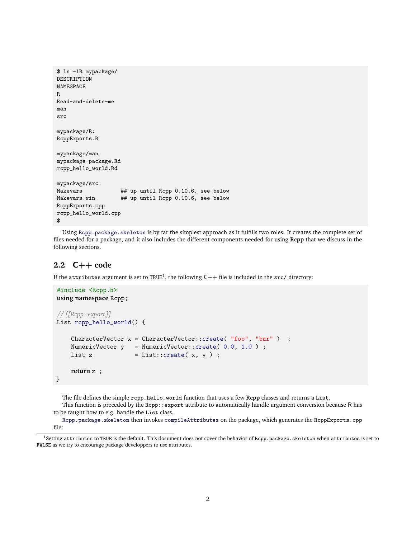```
$ ls -1R mypackage/
DESCRIPTION
NAMESPACE
R
Read-and-delete-me
man
src
mypackage/R:
RcppExports.R
mypackage/man:
mypackage-package.Rd
rcpp_hello_world.Rd
mypackage/src:
Makevars ## up until Rcpp 0.10.6, see below
Makevars.win ## up until Rcpp 0.10.6, see below
RcppExports.cpp
rcpp_hello_world.cpp
$
```
Using [Rcpp.package.skeleton](http://www.rdocumentation.org/packages/Rcpp/functions/Rcpp.package.skeleton) is by far the simplest approach as it fulfills two roles. It creates the complete set of files needed for a package, and it also includes the different components needed for using **Rcpp** that we discuss in the following sections.

### **2.2** C++ **code**

If the attributes argument is set to TRUE $^1$  $^1$ , the following C++ file is included in the src/ directory:

```
#include <Rcpp.h>
using namespace Rcpp;
// [[Rcpp::export]]
List rcpp_hello_world() {
    CharacterVector x = CharacterVector::create('"foo", "bar" );
    NumericVector y = NumericVector::create( 0.0, 1.0 ) ;
    List z = List::create(x, y);
    return z ;
}
```
The file defines the simple rcpp\_hello\_world function that uses a few **Rcpp** classes and returns a List.

This function is preceded by the Rcpp::export attribute to automatically handle argument conversion because R has to be taught how to e.g. handle the List class.

[Rcpp.package.skeleton](http://www.rdocumentation.org/packages/Rcpp/functions/Rcpp.package.skeleton) then invokes [compileAttributes](http://www.rdocumentation.org/packages/Rcpp/functions/compileAttributes) on the package, which generates the RcppExports.cpp file:

<span id="page-1-0"></span> $^1$ Setting attributes to TRUE is the default. This document does not cover the behavior of Rcpp.package.skeleton when attributes is set to FALSE as we try to encourage package developpers to use attributes.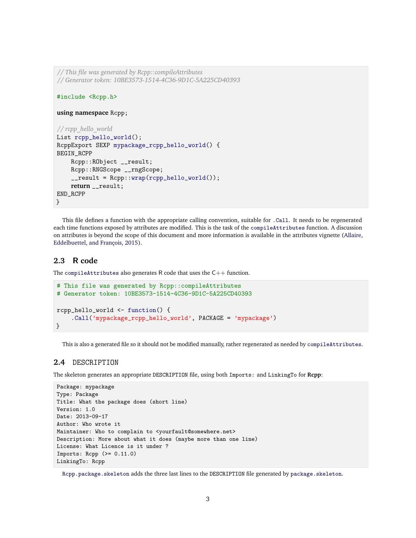```
// This file was generated by Rcpp::compileAttributes
// Generator token: 10BE3573-1514-4C36-9D1C-5A225CD40393
#include <Rcpp.h>
using namespace Rcpp;
// rcpp_hello_world
List rcpp_hello_world();
RcppExport SEXP mypackage_rcpp_hello_world() {
BEGIN_RCPP
    Rcpp::RObject __result;
    Rcpp::RNGScope __rngScope;
    __result = Rcpp::wrap(rcpp_hello_world());
    return __result;
END_RCPP
}
```
This file defines a function with the appropriate calling convention, suitable for [.Call](http://www.rdocumentation.org/packages/base/functions/.Call). It needs to be regenerated each time functions exposed by attributes are modified. This is the task of the [compileAttributes](http://www.rdocumentation.org/packages/Rcpp/functions/compileAttributes) function. A discussion on attributes is beyond the scope of this document and more information is available in the attributes vignette [\(Allaire,](#page-6-0) [Eddelbuettel, and François,](#page-6-0) [2015\)](#page-6-0).

### **2.3** R **code**

The [compileAttributes](http://www.rdocumentation.org/packages/Rcpp/functions/compileAttributes) also generates R code that uses the C++ function.

```
# This file was generated by Rcpp::compileAttributes
# Generator token: 10BE3573-1514-4C36-9D1C-5A225CD40393
rcpp_hello_world <- function() {
    .Call('mypackage_rcpp_hello_world', PACKAGE = 'mypackage')
}
```
This is also a generated file so it should not be modified manually, rather regenerated as needed by [compileAttributes](http://www.rdocumentation.org/packages/Rcpp/functions/compileAttributes).

### **2.4** DESCRIPTION

The skeleton generates an appropriate DESCRIPTION file, using both Imports: and LinkingTo for **Rcpp**:

```
Package: mypackage
Type: Package
Title: What the package does (short line)
Version: 1.0
Date: 2013-09-17
Author: Who wrote it
Maintainer: Who to complain to <yourfault@somewhere.net>
Description: More about what it does (maybe more than one line)
License: What Licence is it under ?
Imports: Rep (>= 0.11.0)LinkingTo: Rcpp
```
[Rcpp.package.skeleton](http://www.rdocumentation.org/packages/Rcpp/functions/Rcpp.package.skeleton) adds the three last lines to the DESCRIPTION file generated by [package.skeleton](http://www.rdocumentation.org/packages/utils/functions/package.skeleton).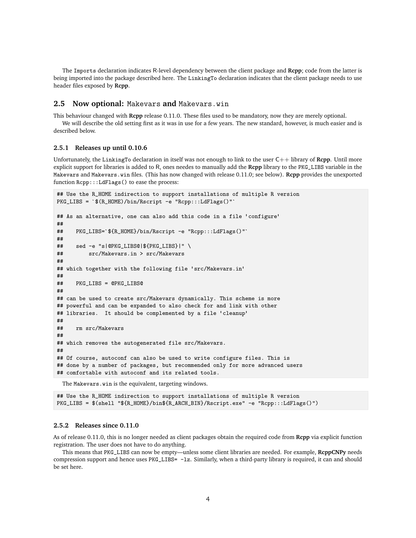The Imports declaration indicates R-level dependency between the client package and **Rcpp**; code from the latter is being imported into the package described here. The LinkingTo declaration indicates that the client package needs to use header files exposed by **Rcpp**.

#### **2.5 Now optional:** Makevars **and** Makevars.win

This behaviour changed with **Rcpp** release 0.11.0. These files used to be mandatory, now they are merely optional.

We will describe the old setting first as it was in use for a few years. The new standard, however, is much easier and is described below.

#### **2.5.1 Releases up until 0.10.6**

Unfortunately, the LinkingTo declaration in itself was not enough to link to the user C++ library of **Rcpp**. Until more explicit support for libraries is added to R, ones needes to manually add the **Rcpp** library to the PKG\_LIBS variable in the Makevars and Makevars.win files. (This has now changed with release 0.11.0; see below). **Rcpp** provides the unexported function Rcpp:::LdFlags() to ease the process:

```
## Use the R_HOME indirection to support installations of multiple R version
PKG_LIBS = `$(R_HOME)/bin/Rscript -e "Rcpp:::LdFlags()"`
## As an alternative, one can also add this code in a file 'configure'
##
## PKG_LIBS=`${R_HOME}/bin/Rscript -e "Rcpp:::LdFlags()"`
##
## sed -e "s|@PKG_LIBS@|${PKG_LIBS}|" \
## src/Makevars.in > src/Makevars
##
## which together with the following file 'src/Makevars.in'
##
## PKG_LIBS = @PKG_LIBS@
##
## can be used to create src/Makevars dynamically. This scheme is more
## powerful and can be expanded to also check for and link with other
## libraries. It should be complemented by a file 'cleanup'
##
## rm src/Makevars
##
## which removes the autogenerated file src/Makevars.
##
## Of course, autoconf can also be used to write configure files. This is
## done by a number of packages, but recommended only for more advanced users
## comfortable with autoconf and its related tools.
```
The Makevars.win is the equivalent, targeting windows.

## Use the R\_HOME indirection to support installations of multiple R version PKG\_LIBS = \$(shell "\${R\_HOME}/bin\${R\_ARCH\_BIN}/Rscript.exe" -e "Rcpp:::LdFlags()")

#### **2.5.2 Releases since 0.11.0**

As of release 0.11.0, this is no longer needed as client packages obtain the required code from **Rcpp** via explicit function registration. The user does not have to do anything.

This means that PKG\_LIBS can now be empty—unless some client libraries are needed. For example, **RcppCNPy** needs compression support and hence uses PKG\_LIBS= -1z. Similarly, when a third-party library is required, it can and should be set here.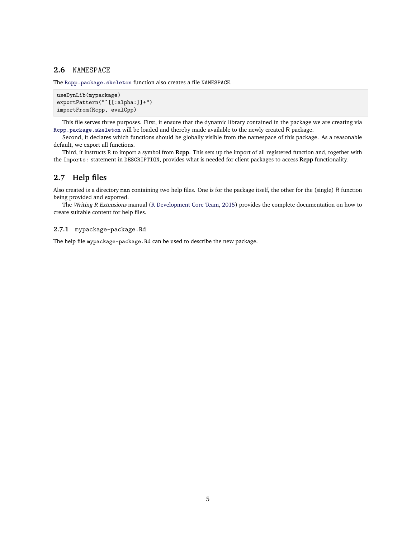#### **2.6** NAMESPACE

The [Rcpp.package.skeleton](http://www.rdocumentation.org/packages/Rcpp/functions/Rcpp.package.skeleton) function also creates a file NAMESPACE.

```
useDynLib(mypackage)
exportPattern("^[[:alpha:]]+")
importFrom(Rcpp, evalCpp)
```
This file serves three purposes. First, it ensure that the dynamic library contained in the package we are creating via [Rcpp.package.skeleton](http://www.rdocumentation.org/packages/Rcpp/functions/Rcpp.package.skeleton) will be loaded and thereby made available to the newly created R package.

Second, it declares which functions should be globally visible from the namespace of this package. As a reasonable default, we export all functions.

Third, it instructs R to import a symbol from **Rcpp**. This sets up the import of all registered function and, together with the Imports: statement in DESCRIPTION, provides what is needed for client packages to access **Rcpp** functionality.

### **2.7 Help files**

Also created is a directory man containing two help files. One is for the package itself, the other for the (single) R function being provided and exported.

The Writing R Extensions manual [\(R Development Core Team,](#page-7-3) [2015\)](#page-7-3) provides the complete documentation on how to create suitable content for help files.

#### **2.7.1** mypackage-package.Rd

The help file mypackage-package.Rd can be used to describe the new package.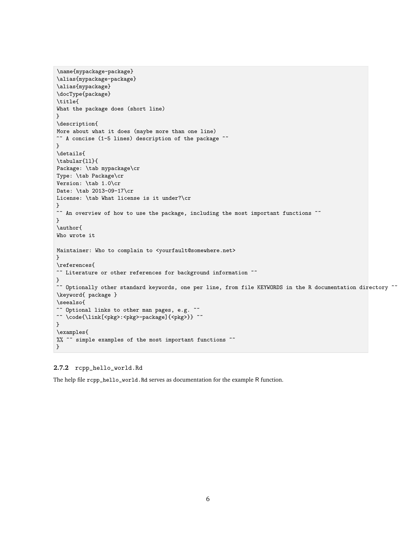```
\name{mypackage-package}
\alias{mypackage-package}
\alias{mypackage}
\docType{package}
\title{
What the package does (short line)
}
\description{
More about what it does (maybe more than one line)
~~ A concise (1-5 lines) description of the package ~~
}
\details{
\tabular{ll}{
Package: \tab mypackage\cr
Type: \tab Package\cr
Version: \tab 1.0\cr
Date: \tab 2013-09-17\cr
License: \tab What license is it under?\cr
}
~~ An overview of how to use the package, including the most important functions ~~
}
\author{
Who wrote it
Maintainer: Who to complain to <yourfault@somewhere.net>
}
\references{
~~ Literature or other references for background information ~~
}
~~ Optionally other standard keywords, one per line, from file KEYWORDS in the R documentation directory ~\keyword{ package }
\seealso{
~~ Optional links to other man pages, e.g. ~~
~~ \code{\link[<pkg>:<pkg>-package]{<pkg>}} ~~
}
\examples{
%% ~~ simple examples of the most important functions ~~
}
```
#### **2.7.2** rcpp\_hello\_world.Rd

The help file rcpp\_hello\_world.Rd serves as documentation for the example R function.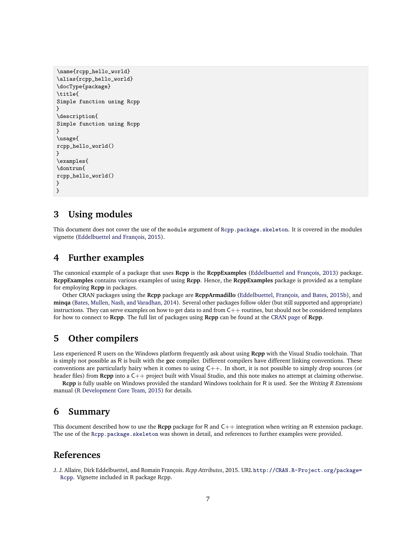```
\name{rcpp_hello_world}
\alias{rcpp_hello_world}
\docType{package}
\title{
Simple function using Rcpp
}
\description{
Simple function using Rcpp
}
\usage{
rcpp_hello_world()
}
\examples{
\dontrun{
rcpp_hello_world()
}
}
```
## **3 Using modules**

This document does not cover the use of the module argument of [Rcpp.package.skeleton](http://www.rdocumentation.org/packages/Rcpp/functions/Rcpp.package.skeleton). It is covered in the modules vignette [\(Eddelbuettel and François,](#page-7-5) [2015\)](#page-7-5).

## **4 Further examples**

The canonical example of a package that uses **Rcpp** is the **RcppExamples** [\(Eddelbuettel and François,](#page-7-6) [2013\)](#page-7-6) package. **RcppExamples** contains various examples of using **Rcpp**. Hence, the **RcppExamples** package is provided as a template for employing **Rcpp** in packages.

Other CRAN packages using the **Rcpp** package are **RcppArmadillo** [\(Eddelbuettel, François, and Bates,](#page-7-7) [2015b\)](#page-7-7), and **minqa** [\(Bates, Mullen, Nash, and Varadhan,](#page-7-8) [2014\)](#page-7-8). Several other packages follow older (but still supported and appropriate) instructions. They can serve examples on how to get data to and from  $C++$  routines, but should not be considered templates for how to connect to **Rcpp**. The full list of packages using **Rcpp** can be found at the [CRAN page](http://CRAN.R-project.org/package=Rcpp) of **Rcpp**.

## **5 Other compilers**

Less experienced R users on the Windows platform frequently ask about using **Rcpp** with the Visual Studio toolchain. That is simply not possible as R is built with the **gcc** compiler. Different compilers have different linking conventions. These conventions are particularly hairy when it comes to using  $C++$ . In short, it is not possible to simply drop sources (or header files) from **Rcpp** into a C++ project built with Visual Studio, and this note makes no attempt at claiming otherwise.

**Rcpp** is fully usable on Windows provided the standard Windows toolchain for R is used. See the Writing R Extensions manual [\(R Development Core Team,](#page-7-3) [2015\)](#page-7-3) for details.

### **6 Summary**

This document described how to use the **Rcpp** package for R and C++ integration when writing an R extension package. The use of the [Rcpp.package.skeleton](http://www.rdocumentation.org/packages/Rcpp/functions/Rcpp.package.skeleton) was shown in detail, and references to further examples were provided.

## **References**

<span id="page-6-0"></span>J. J. Allaire, Dirk Eddelbuettel, and Romain François. *Rcpp Attributes*, 2015. URL [http://CRAN.R-Project.org/package=](http://CRAN.R-Project.org/package=Rcpp) [Rcpp](http://CRAN.R-Project.org/package=Rcpp). Vignette included in R package Rcpp.